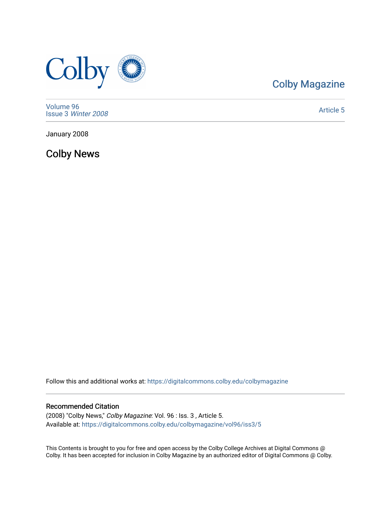

### [Colby Magazine](https://digitalcommons.colby.edu/colbymagazine)

[Volume 96](https://digitalcommons.colby.edu/colbymagazine/vol96) Issue 3 [Winter 2008](https://digitalcommons.colby.edu/colbymagazine/vol96/iss3) 

[Article 5](https://digitalcommons.colby.edu/colbymagazine/vol96/iss3/5) 

January 2008

Colby News

Follow this and additional works at: [https://digitalcommons.colby.edu/colbymagazine](https://digitalcommons.colby.edu/colbymagazine?utm_source=digitalcommons.colby.edu%2Fcolbymagazine%2Fvol96%2Fiss3%2F5&utm_medium=PDF&utm_campaign=PDFCoverPages)

### Recommended Citation

(2008) "Colby News," Colby Magazine: Vol. 96 : Iss. 3 , Article 5. Available at: [https://digitalcommons.colby.edu/colbymagazine/vol96/iss3/5](https://digitalcommons.colby.edu/colbymagazine/vol96/iss3/5?utm_source=digitalcommons.colby.edu%2Fcolbymagazine%2Fvol96%2Fiss3%2F5&utm_medium=PDF&utm_campaign=PDFCoverPages)

This Contents is brought to you for free and open access by the Colby College Archives at Digital Commons @ Colby. It has been accepted for inclusion in Colby Magazine by an authorized editor of Digital Commons @ Colby.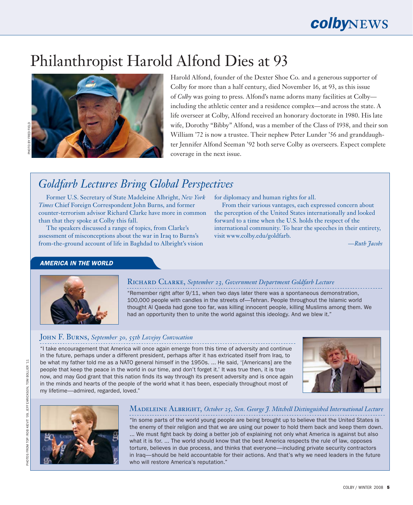# Philanthropist Harold Alfond Dies at 93



Harold Alfond, founder of the Dexter Shoe Co. and a generous supporter of Colby for more than a half century, died November 16, at 93, as this issue of *Colby* was going to press. Alfond's name adorns many facilities at Colby including the athletic center and a residence complex—and across the state. A life overseer at Colby, Alfond received an honorary doctorate in 1980. His late wife, Dorothy "Bibby" Alfond, was a member of the Class of 1938, and their son William '72 is now a trustee. Their nephew Peter Lunder '56 and granddaughter Jennifer Alfond Seeman '92 both serve Colby as overseers. Expect complete coverage in the next issue.

## *Goldfarb Lectures Bring Global Perspectives*

Former U.S. Secretary of State Madeleine Albright, *New York Times* Chief Foreign Correspondent John Burns, and former counter-terrorism advisor Richard Clarke have more in common than that they spoke at Colby this fall.

The speakers discussed a range of topics, from Clarke's assessment of misconceptions about the war in Iraq to Burns's from-the-ground account of life in Baghdad to Albright's vision for diplomacy and human rights for all.

From their various vantages, each expressed concern about the perception of the United States internationally and looked forward to a time when the U.S. holds the respect of the international community. To hear the speeches in their entirety, visit www.colby.edu/goldfarb.

—*Ruth Jacobs*

### *AMERICA IN THE WORLD*



### Richard Clarke, *September 23, Government Department Goldfarb Lecture*

"Remember right after 9/11, when two days later there was a spontaneous demonstration, 100,000 people with candles in the streets of—Tehran. People throughout the Islamic world thought Al Qaeda had gone too far, was killing innocent people, killing Muslims among them. We had an opportunity then to unite the world against this ideology. And we blew it."

### John F. Burns, *September 30, 55th Lovejoy Convocation*

"I take encouragement that America will once again emerge from this time of adversity and continue in the future, perhaps under a different president, perhaps after it has extricated itself from Iraq, to be what my father told me as a NATO general himself in the 1950s. ... He said, '[Americans] are the people that keep the peace in the world in our time, and don't forget it.' It was true then, it is true now, and may God grant that this nation finds its way through its present adversity and is once again in the minds and hearts of the people of the world what it has been, especially throughout most of my lifetime—admired, regarded, loved."





### Madeleine Albright, *October 25, Sen. George J. Mitchell Distinguished International Lecture*

"In some parts of the world young people are being brought up to believe that the United States is the enemy of their religion and that we are using our power to hold them back and keep them down. ... We must fight back by doing a better job of explaining not only what America is against but also what it is for. ... The world should know that the best America respects the rule of law, opposes torture, believes in due process, and thinks that everyone—including private security contractors in Iraq—should be held accountable for their actions. And that's why we need leaders in the future who will restore America's reputation."

 $\mathbb{H}$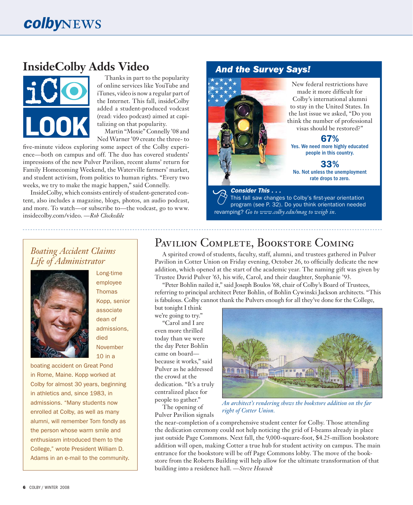## **InsideColby Adds Video**



Thanks in part to the popularity of online services like YouTube and iTunes, video is now a regular part of the Internet. This fall, insideColby added a student-produced vodcast (read: video podcast) aimed at capitalizing on that popularity. Martin "Moxie" Connelly '08 and

Ned Warner '09 create the three- to

five-minute videos exploring some aspect of the Colby experience—both on campus and off. The duo has covered students' impressions of the new Pulver Pavilion, recent alums' return for Family Homecoming Weekend, the Waterville farmers' market, and student activism, from politics to human rights. "Every two weeks, we try to make the magic happen," said Connelly.

InsideColby, which consists entirely of student-generated content, also includes a magazine, blogs, photos, an audio podcast, and more. To watch—or subscribe to—the vodcast, go to www. insidecolby.com/video. —*Rob Clockedile*

### *And the Survey Says!*



New federal restrictions have made it more difficult for Colby's international alumni to stay in the United States. In the last issue we asked, "Do you think the number of professional

visas should be restored?"

#### 67% Yes. We need more highly educated people in this country.

33% No. Not unless the unemployment rate drops to zero.

### *Consider This . . .*

This fall saw changes to Colby's first-year orientation program (see P. 32). Do you think orientation needed revamping? *Go to www.colby.edu/mag to weigh in.*

### *Boating Accident Claims Life of Administrator*



Long-time employee **Thomas** Kopp, senior associate dean of admissions, died November 10 in a

boating accident on Great Pond in Rome, Maine. Kopp worked at Colby for almost 30 years, beginning in athletics and, since 1983, in admissions. "Many students now enrolled at Colby, as well as many alumni, will remember Tom fondly as the person whose warm smile and enthusiasm introduced them to the College," wrote President William D. Adams in an e-mail to the community.

## PAVILION COMPLETE, BOOKSTORE COMING

A spirited crowd of students, faculty, staff, alumni, and trustees gathered in Pulver Pavilion in Cotter Union on Friday evening, October 26, to officially dedicate the new addition, which opened at the start of the academic year. The naming gift was given by Trustee David Pulver '63, his wife, Carol, and their daughter, Stephanie '93.

"Peter Bohlin nailed it," said Joseph Boulos '68, chair of Colby's Board of Trustees, referring to principal architect Peter Bohlin, of Bohlin Cywinski Jackson architects. "This is fabulous. Colby cannot thank the Pulvers enough for all they've done for the College,

but tonight I think we're going to try." "Carol and I are even more thrilled today than we were the day Peter Bohlin came on board because it works," said Pulver as he addressed the crowd at the dedication. "It's a truly centralized place for people to gather."

The opening of Pulver Pavilion signals



*An architect's rendering shows the bookstore addition on the far right of Cotter Union.*

the near-completion of a comprehensive student center for Colby. Those attending the dedication ceremony could not help noticing the grid of I-beams already in place just outside Page Commons. Next fall, the 9,000-square-foot, \$4.25-million bookstore addition will open, making Cotter a true hub for student activity on campus. The main entrance for the bookstore will be off Page Commons lobby. The move of the bookstore from the Roberts Building will help allow for the ultimate transformation of that building into a residence hall. —*Steve Heacock*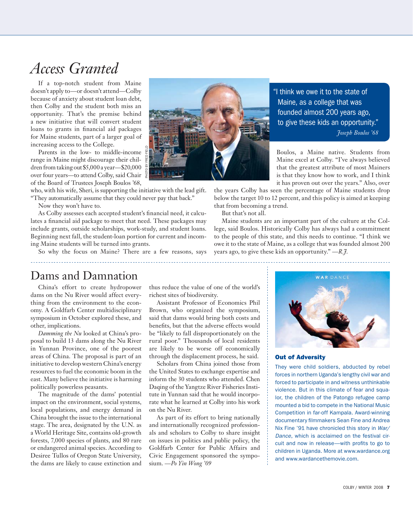## *Access Granted*

If a top-notch student from Maine doesn't apply to—or doesn't attend—Colby because of anxiety about student loan debt, then Colby and the student both miss an opportunity. That's the premise behind a new initiative that will convert student loans to grants in financial aid packages for Maine students, part of a larger goal of increasing access to the College.

Parents in the low- to middle-income range in Maine might discourage their children from taking out \$5,000 a year—\$20,000 over four years—to attend Colby, said Chair of the Board of Trustees Joseph Boulos '68,

who, with his wife, Sheri, is supporting the initiative with the lead gift. "They automatically assume that they could never pay that back."

Now they won't have to.

As Colby assesses each accepted student's financial need, it calculates a financial aid package to meet that need. These packages may include grants, outside scholarships, work-study, and student loans. Beginning next fall, the student-loan portion for current and incoming Maine students will be turned into grants.

So why the focus on Maine? There are a few reasons, says



"I think we owe it to the state of Maine, as a college that was founded almost 200 years ago, to give these kids an opportunity." *Joseph Boulos '68*

Boulos, a Maine native. Students from Maine excel at Colby. "I've always believed that the greatest attribute of most Mainers is that they know how to work, and I think it has proven out over the years." Also, over

the years Colby has seen the percentage of Maine students drop below the target 10 to 12 percent, and this policy is aimed at keeping that from becoming a trend.

But that's not all.

Maine students are an important part of the culture at the College, said Boulos. Historically Colby has always had a commitment to the people of this state, and this needs to continue. "I think we owe it to the state of Maine, as a college that was founded almost 200 years ago, to give these kids an opportunity." —*R.J*.

### Dams and Damnation

China's effort to create hydropower dams on the Nu River would affect everything from the environment to the economy. A Goldfarb Center multidisciplinary symposium in October explored these, and other, implications.

*Damming the Nu* looked at China's proposal to build 13 dams along the Nu River in Yunnan Province, one of the poorest areas of China. The proposal is part of an initiative to develop western China's energy resources to fuel the economic boom in the east. Many believe the initiative is harming politically powerless peasants.

The magnitude of the dams' potential impact on the environment, social systems, local populations, and energy demand in China brought the issue to the international stage. The area, designated by the U.N. as a World Heritage Site, contains old-growth forests, 7,000 species of plants, and 80 rare or endangered animal species. According to Desiree Tullos of Oregon State University, the dams are likely to cause extinction and

thus reduce the value of one of the world's richest sites of biodiversity.

Assistant Professor of Economics Phil Brown, who organized the symposium, said that dams would bring both costs and benefits, but that the adverse effects would be "likely to fall disproportionately on the rural poor." Thousands of local residents are likely to be worse off economically through the displacement process, he said.

Scholars from China joined those from the United States to exchange expertise and inform the 30 students who attended. Chen Daqing of the Yangtze River Fisheries Institute in Yunnan said that he would incorporate what he learned at Colby into his work on the Nu River.

As part of its effort to bring nationally and internationally recognized professionals and scholars to Colby to share insight on issues in politics and public policy, the Goldfarb Center for Public Affairs and Civic Engagement sponsored the symposium. *—Po Yin Wong '09*



#### Out of Adversity

They were child soldiers, abducted by rebel forces in northern Uganda's lengthy civil war and forced to participate in and witness unthinkable violence. But in this climate of fear and squalor, the children of the Patongo refugee camp mounted a bid to compete in the National Music Competition in far-off Kampala. Award-winning documentary filmmakers Sean Fine and Andrea Nix Fine '91 have chronicled this story in *War/ Dance*, which is acclaimed on the festival circuit and now in release—with profits to go to children in Uganda. More at www.wardance.org and www.wardancethemovie.com.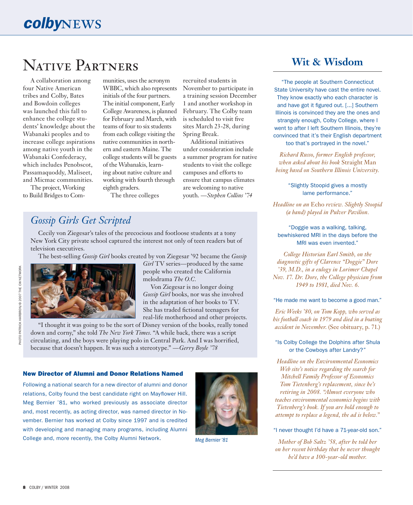# Native Partners

A collaboration among four Native American tribes and Colby, Bates and Bowdoin colleges was launched this fall to enhance the college students' knowledge about the Wabanaki peoples and to increase college aspirations among native youth in the Wabanaki Confederacy, which includes Penobscot, Passamaquoddy, Maliseet, and Micmac communities.

The project, Working to Build Bridges to Com-

munities, uses the acronym WBBC, which also represents initials of the four partners. The initial component, Early College Awareness, is planned for February and March, with teams of four to six students from each college visiting the native communities in northern and eastern Maine. The college students will be guests of the Wabanakis, learning about native culture and working with fourth through eighth graders.

The three colleges

### *Gossip Girls Get Scripted*

Cecily von Ziegesar's tales of the precocious and footloose students at a tony New York City private school captured the interest not only of teen readers but of television executives.

The best-selling *Gossip Girl* books created by von Ziegesar '92 became the *Gossip* 



*Girl* TV series—produced by the same people who created the California melodrama *The O.C.*

recruited students in November to participate in a training session December 1 and another workshop in February. The Colby team is scheduled to visit five sites March 23-28, during

Spring Break.

Additional initiatives under consideration include a summer program for native students to visit the college campuses and efforts to ensure that campus climates are welcoming to native youth. —*Stephen Collins '74*

Von Ziegesar is no longer doing *Gossip Girl* books, nor was she involved in the adaptation of her books to TV. She has traded fictional teenagers for real-life motherhood and other projects.

"I thought it was going to be the sort of Disney version of the books, really toned down and corny," she told *The New York Times*. "A while back, there was a script circulating, and the boys were playing polo in Central Park. And I was horrified, because that doesn't happen. It was such a stereotype." *—Gerry Boyle '78*

#### New Director of Alumni and Donor Relations Named

Following a national search for a new director of alumni and donor relations, Colby found the best candidate right on Mayflower Hill. Meg Bernier '81, who worked previously as associate director and, most recently, as acting director, was named director in November. Bernier has worked at Colby since 1997 and is credited with developing and managing many programs, including Alumni College and, more recently, the Colby Alumni Network. *Meg Bernier '81*



### **Wit & Wisdom**

"The people at Southern Connecticut State University have cast the entire novel. They know exactly who each character is and have got it figured out. [...] Southern Illinois is convinced they are the ones and strangely enough, Colby College, where I went to after I left Southern Illinois, they're convinced that it's their English department too that's portrayed in the novel."

*Richard Russo, former English professor, when asked about his book* Straight Man *being based on Southern Illinois University.* 

> "Slightly Stoopid gives a mostly lame performance."

*Headline on an* Echo *review. Slightly Stoopid (a band) played in Pulver Pavilion.*

"Doggie was a walking, talking, bewhiskered MRI in the days before the MRI was even invented."

*College Historian Earl Smith, on the diagnostic gifts of Clarence "Doggie" Dore '39, M.D., in a eulogy in Lorimer Chapel Nov. 17. Dr. Dore, the College physician from 1949 to 1981, died Nov. 6.*

#### "He made me want to become a good man."

*Eric Weeks '80, on Tom Kopp, who served as his football coach in 1979 and died in a boating accident in November*. (See obituary, p. 71.)

#### "Is Colby College the Dolphins after Shula or the Cowboys after Landry?"

*Headline on the Environmental Economics Web site's notice regarding the search for Mitchell Family Professor of Economics Tom Tietenberg's replacement, since he's retiring in 2008. "Almost everyone who teaches environmental economics begins with Tietenberg's book. If you are bold enough to attempt to replace a legend, the ad is below."*

#### "I never thought I'd have a 71-year-old son."

*Mother of Bob Saltz '58, after he told her on her recent birthday that he never thought he'd have a 100-year-old mother.*